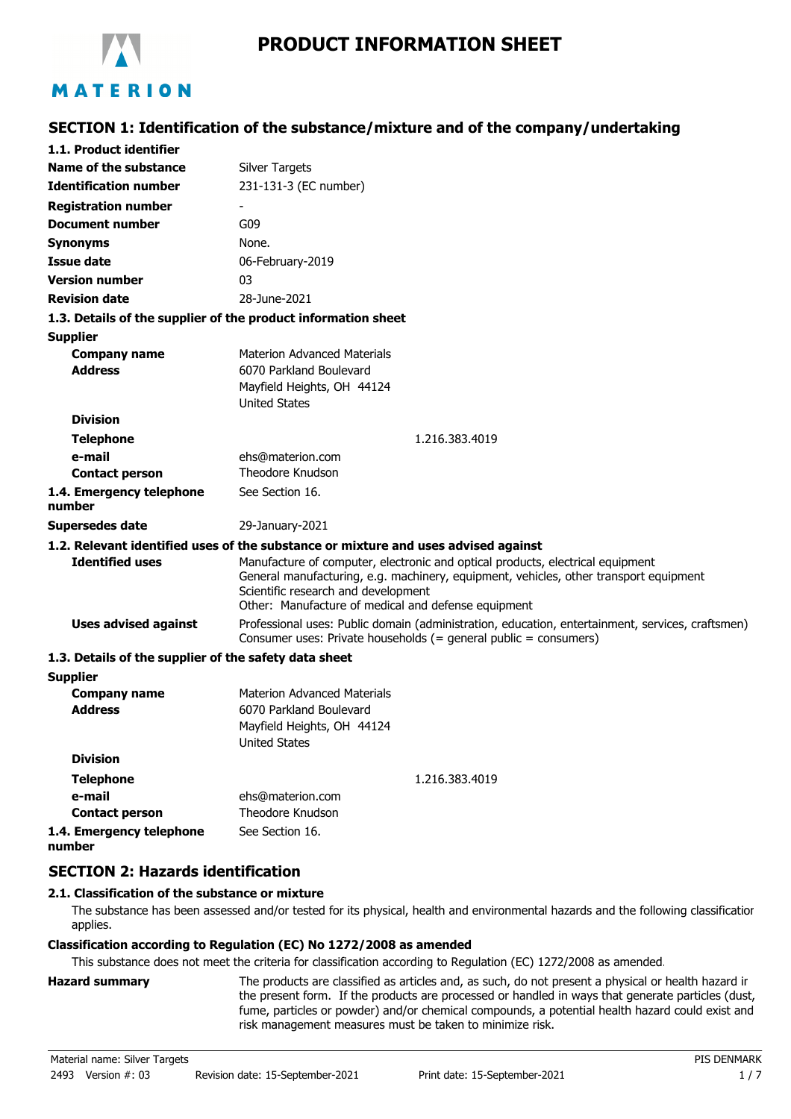

#### **SECTION 1: Identification of the substance/mixture and of the company/undertaking 1.1. Product identifier Identification number Name of the substance** Silver Targets 231-131-3 (EC number) **Registration number Document number** G09 **Synonyms** None. **Issue date** 06-February-2019 **Version number** 03 **Revision date** 28-June-2021 **1.3. Details of the supplier of the product information sheet** Materion Advanced Materials Mayfield Heights, OH 44124 **Supplier Company name Telephone** 1.216.383.4019 **e-mail Contact person** ehs@materion.com Theodore Knudson **1.4. Emergency telephone number** See Section 16. **Address Division** United States 6070 Parkland Boulevard **Supersedes date** 29-January-2021 **1.2. Relevant identified uses of the substance or mixture and uses advised against** Manufacture of computer, electronic and optical products, electrical equipment General manufacturing, e.g. machinery, equipment, vehicles, other transport equipment Scientific research and development Other: Manufacture of medical and defense equipment **Identified uses** Professional uses: Public domain (administration, education, entertainment, services, craftsmen) Consumer uses: Private households (= general public = consumers) **Uses advised against 1.3. Details of the supplier of the safety data sheet** Materion Advanced Materials Mayfield Heights, OH 44124 **Supplier Company name Telephone** 1.216.383.4019 **e-mail Contact person** ehs@materion.com Theodore Knudson **1.4. Emergency telephone number** See Section 16. **Address Division** United States 6070 Parkland Boulevard **SECTION 2: Hazards identification 2.1. Classification of the substance or mixture**

The substance has been assessed and/or tested for its physical, health and environmental hazards and the following classification applies.

## **Classification according to Regulation (EC) No 1272/2008 as amended**

This substance does not meet the criteria for classification according to Regulation (EC) 1272/2008 as amended.

**Hazard summary** The products are classified as articles and, as such, do not present a physical or health hazard in the present form. If the products are processed or handled in ways that generate particles (dust, fume, particles or powder) and/or chemical compounds, a potential health hazard could exist and risk management measures must be taken to minimize risk.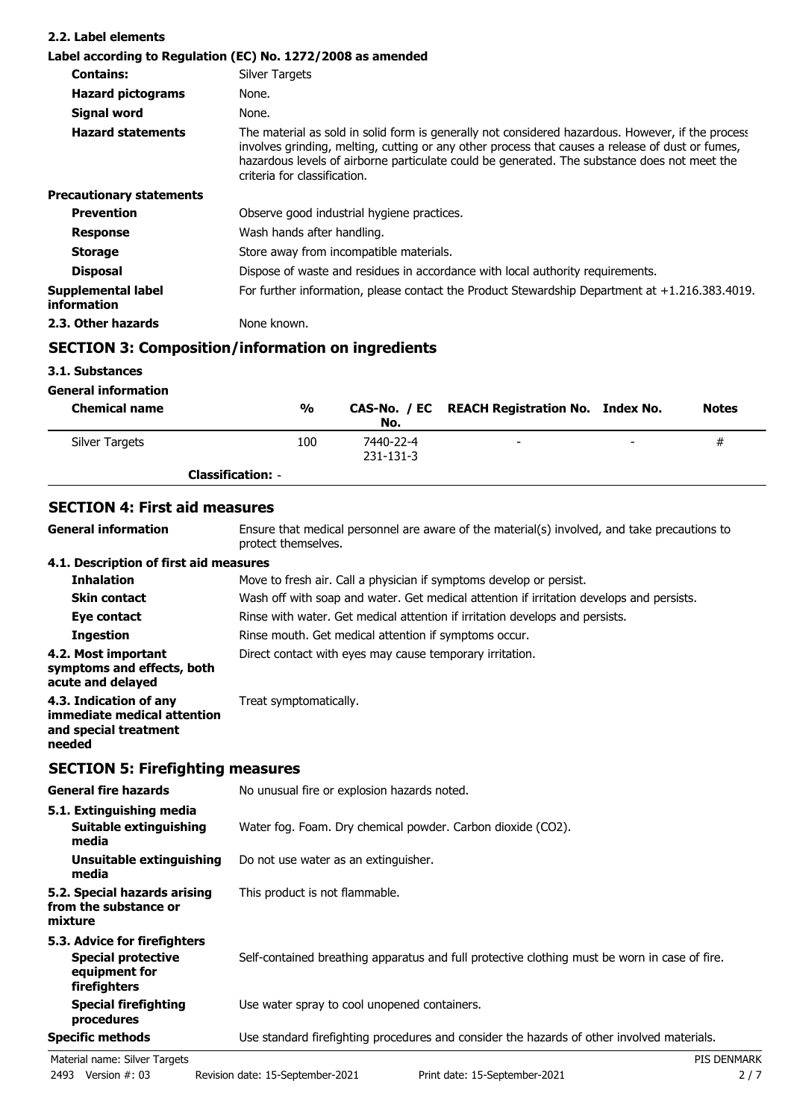| 2.2. Label elements               |                                                                                                                                                                                                                                                                                                                                       |
|-----------------------------------|---------------------------------------------------------------------------------------------------------------------------------------------------------------------------------------------------------------------------------------------------------------------------------------------------------------------------------------|
|                                   | Label according to Regulation (EC) No. 1272/2008 as amended                                                                                                                                                                                                                                                                           |
| <b>Contains:</b>                  | Silver Targets                                                                                                                                                                                                                                                                                                                        |
| <b>Hazard pictograms</b>          | None.                                                                                                                                                                                                                                                                                                                                 |
| Signal word                       | None.                                                                                                                                                                                                                                                                                                                                 |
| <b>Hazard statements</b>          | The material as sold in solid form is generally not considered hazardous. However, if the process<br>involves grinding, melting, cutting or any other process that causes a release of dust or fumes,<br>hazardous levels of airborne particulate could be generated. The substance does not meet the<br>criteria for classification. |
| <b>Precautionary statements</b>   |                                                                                                                                                                                                                                                                                                                                       |
| <b>Prevention</b>                 | Observe good industrial hygiene practices.                                                                                                                                                                                                                                                                                            |
| <b>Response</b>                   | Wash hands after handling.                                                                                                                                                                                                                                                                                                            |
| <b>Storage</b>                    | Store away from incompatible materials.                                                                                                                                                                                                                                                                                               |
| <b>Disposal</b>                   | Dispose of waste and residues in accordance with local authority requirements.                                                                                                                                                                                                                                                        |
| Supplemental label<br>information | For further information, please contact the Product Stewardship Department at $+1.216.383.4019$ .                                                                                                                                                                                                                                     |
| 2.3. Other hazards                | None known.                                                                                                                                                                                                                                                                                                                           |

# **SECTION 3: Composition/information on ingredients**

## **3.1. Substances**

| <b>General information</b> |
|----------------------------|
|                            |

| <b>Chemical name</b> | %                        | No.                    | CAS-No. / EC REACH Registration No. Index No. |                          | <b>Notes</b> |
|----------------------|--------------------------|------------------------|-----------------------------------------------|--------------------------|--------------|
| Silver Targets       | 100                      | 7440-22-4<br>231-131-3 | $\overline{\phantom{0}}$                      | $\overline{\phantom{a}}$ | #            |
|                      | <b>Classification: -</b> |                        |                                               |                          |              |

## **SECTION 4: First aid measures**

| <b>General information</b>                                                               | Ensure that medical personnel are aware of the material(s) involved, and take precautions to<br>protect themselves. |
|------------------------------------------------------------------------------------------|---------------------------------------------------------------------------------------------------------------------|
| 4.1. Description of first aid measures                                                   |                                                                                                                     |
| <b>Inhalation</b>                                                                        | Move to fresh air. Call a physician if symptoms develop or persist.                                                 |
| <b>Skin contact</b>                                                                      | Wash off with soap and water. Get medical attention if irritation develops and persists.                            |
| Eye contact                                                                              | Rinse with water. Get medical attention if irritation develops and persists.                                        |
| <b>Ingestion</b>                                                                         | Rinse mouth. Get medical attention if symptoms occur.                                                               |
| 4.2. Most important<br>symptoms and effects, both<br>acute and delayed                   | Direct contact with eyes may cause temporary irritation.                                                            |
| 4.3. Indication of any<br>immediate medical attention<br>and special treatment<br>needed | Treat symptomatically.                                                                                              |

## **SECTION 5: Firefighting measures**

| <b>General fire hazards</b>                                                                | No unusual fire or explosion hazards noted.                                                   |  |  |
|--------------------------------------------------------------------------------------------|-----------------------------------------------------------------------------------------------|--|--|
| 5.1. Extinguishing media<br>Suitable extinguishing<br>media                                | Water fog. Foam. Dry chemical powder. Carbon dioxide (CO2).                                   |  |  |
| Unsuitable extinguishing<br>media                                                          | Do not use water as an extinguisher.                                                          |  |  |
| 5.2. Special hazards arising<br>from the substance or<br>mixture                           | This product is not flammable.                                                                |  |  |
| 5.3. Advice for firefighters<br><b>Special protective</b><br>equipment for<br>firefighters | Self-contained breathing apparatus and full protective clothing must be worn in case of fire. |  |  |
| Special firefighting<br>procedures                                                         | Use water spray to cool unopened containers.                                                  |  |  |
| <b>Specific methods</b>                                                                    | Use standard firefighting procedures and consider the hazards of other involved materials.    |  |  |
| Material name: Silver Targets                                                              | <b>PIS DENMARK</b>                                                                            |  |  |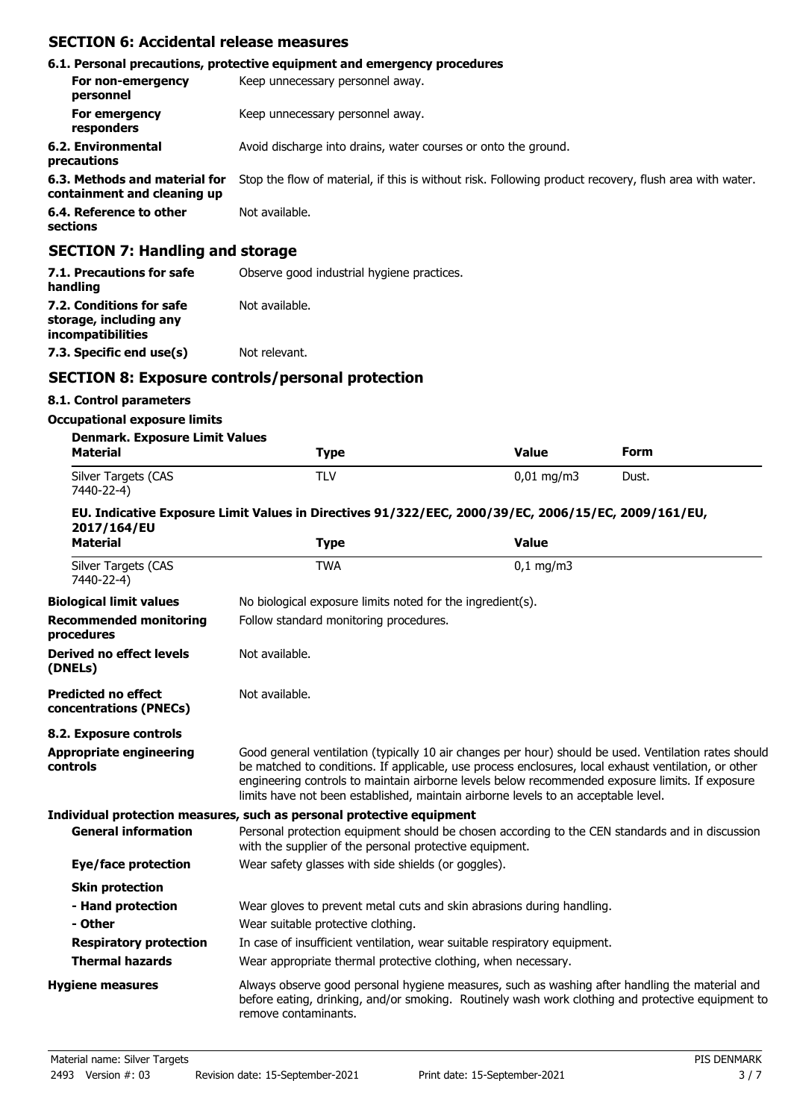## **SECTION 6: Accidental release measures**

|                                                              | 6.1. Personal precautions, protective equipment and emergency procedures                               |
|--------------------------------------------------------------|--------------------------------------------------------------------------------------------------------|
| For non-emergency<br>personnel                               | Keep unnecessary personnel away.                                                                       |
| For emergency<br>responders                                  | Keep unnecessary personnel away.                                                                       |
| 6.2. Environmental<br>precautions                            | Avoid discharge into drains, water courses or onto the ground.                                         |
| 6.3. Methods and material for<br>containment and cleaning up | Stop the flow of material, if this is without risk. Following product recovery, flush area with water. |
| 6.4. Reference to other<br>sections                          | Not available.                                                                                         |
| <b>SECTION 7: Handling and storage</b>                       |                                                                                                        |

| 7.1. Precautions for safe<br>handling                                          | Observe good industrial hygiene practices. |
|--------------------------------------------------------------------------------|--------------------------------------------|
| 7.2. Conditions for safe<br>storage, including any<br><i>incompatibilities</i> | Not available.                             |
| 7.3. Specific end use(s)                                                       | Not relevant.                              |

## **SECTION 8: Exposure controls/personal protection**

#### **8.1. Control parameters**

#### **Occupational exposure limits**

| <b>Denmark. Exposure Limit Values</b><br><b>Material</b> | Type | Value                   | Form  |
|----------------------------------------------------------|------|-------------------------|-------|
| Silver Targets (CAS<br>7440-22-4)                        | TLV  | $0.01 \,\mathrm{ma/m3}$ | Dust. |

#### **EU. Indicative Exposure Limit Values in Directives 91/322/EEC, 2000/39/EC, 2006/15/EC, 2009/161/EU, 2017/164/EU**

| <b>Material</b>                                      | <b>Type</b>                                                               | <b>Value</b>                                                                                                                                                                                                                                                                                                                                                                                           |
|------------------------------------------------------|---------------------------------------------------------------------------|--------------------------------------------------------------------------------------------------------------------------------------------------------------------------------------------------------------------------------------------------------------------------------------------------------------------------------------------------------------------------------------------------------|
| Silver Targets (CAS<br>7440-22-4)                    | <b>TWA</b>                                                                | $0,1$ mg/m3                                                                                                                                                                                                                                                                                                                                                                                            |
| <b>Biological limit values</b>                       | No biological exposure limits noted for the ingredient(s).                |                                                                                                                                                                                                                                                                                                                                                                                                        |
| <b>Recommended monitoring</b><br>procedures          | Follow standard monitoring procedures.                                    |                                                                                                                                                                                                                                                                                                                                                                                                        |
| Derived no effect levels<br>(DNELs)                  | Not available.                                                            |                                                                                                                                                                                                                                                                                                                                                                                                        |
| <b>Predicted no effect</b><br>concentrations (PNECs) | Not available.                                                            |                                                                                                                                                                                                                                                                                                                                                                                                        |
| 8.2. Exposure controls                               |                                                                           |                                                                                                                                                                                                                                                                                                                                                                                                        |
| <b>Appropriate engineering</b><br>controls           |                                                                           | Good general ventilation (typically 10 air changes per hour) should be used. Ventilation rates should<br>be matched to conditions. If applicable, use process enclosures, local exhaust ventilation, or other<br>engineering controls to maintain airborne levels below recommended exposure limits. If exposure<br>limits have not been established, maintain airborne levels to an acceptable level. |
|                                                      | Individual protection measures, such as personal protective equipment     |                                                                                                                                                                                                                                                                                                                                                                                                        |
| <b>General information</b>                           | with the supplier of the personal protective equipment.                   | Personal protection equipment should be chosen according to the CEN standards and in discussion                                                                                                                                                                                                                                                                                                        |
| Eye/face protection                                  | Wear safety glasses with side shields (or goggles).                       |                                                                                                                                                                                                                                                                                                                                                                                                        |
| <b>Skin protection</b>                               |                                                                           |                                                                                                                                                                                                                                                                                                                                                                                                        |
| - Hand protection                                    | Wear gloves to prevent metal cuts and skin abrasions during handling.     |                                                                                                                                                                                                                                                                                                                                                                                                        |
| - Other                                              | Wear suitable protective clothing.                                        |                                                                                                                                                                                                                                                                                                                                                                                                        |
| <b>Respiratory protection</b>                        | In case of insufficient ventilation, wear suitable respiratory equipment. |                                                                                                                                                                                                                                                                                                                                                                                                        |
| <b>Thermal hazards</b>                               | Wear appropriate thermal protective clothing, when necessary.             |                                                                                                                                                                                                                                                                                                                                                                                                        |
| <b>Hygiene measures</b>                              | remove contaminants.                                                      | Always observe good personal hygiene measures, such as washing after handling the material and<br>before eating, drinking, and/or smoking. Routinely wash work clothing and protective equipment to                                                                                                                                                                                                    |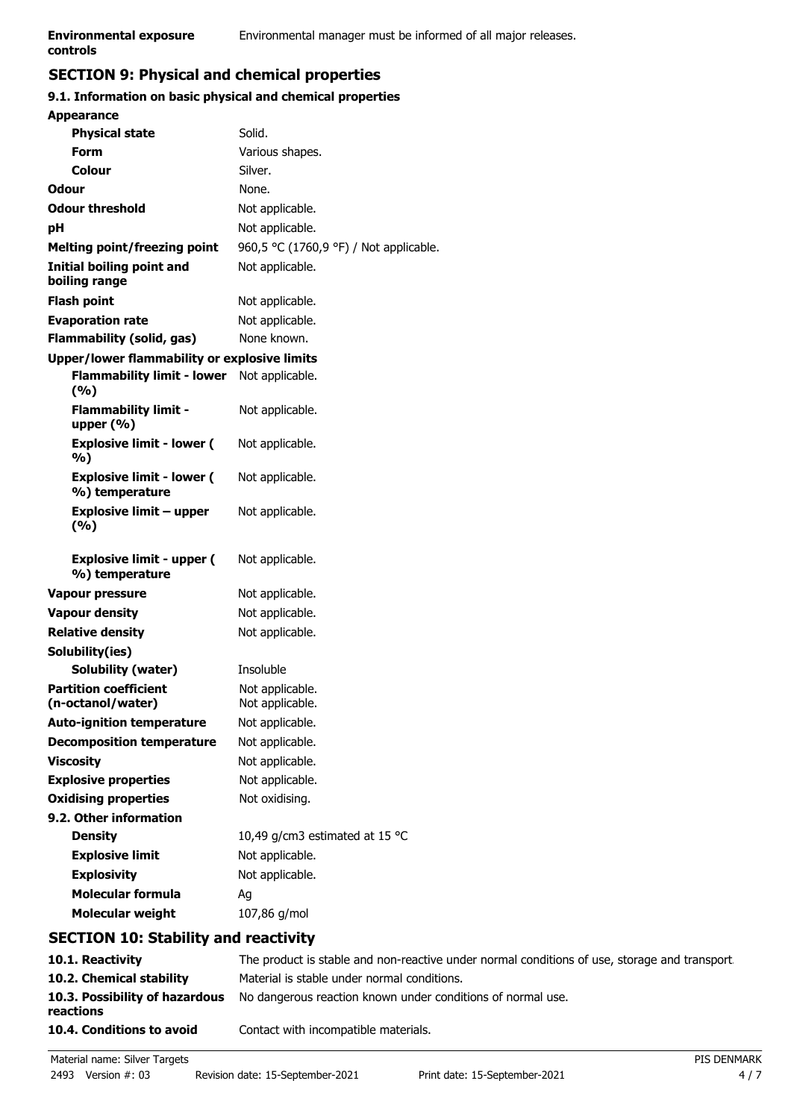## **SECTION 9: Physical and chemical properties**

#### **9.1. Information on basic physical and chemical properties**

| <b>Appearance</b>                                  |                                        |
|----------------------------------------------------|----------------------------------------|
| <b>Physical state</b>                              | Solid.                                 |
| Form                                               | Various shapes.                        |
| <b>Colour</b>                                      | Silver.                                |
| Odour                                              | None.                                  |
| <b>Odour threshold</b>                             | Not applicable.                        |
| рH                                                 | Not applicable.                        |
| <b>Melting point/freezing point</b>                | 960,5 °C (1760,9 °F) / Not applicable. |
| <b>Initial boiling point and</b><br>boiling range  | Not applicable.                        |
| <b>Flash point</b>                                 | Not applicable.                        |
| <b>Evaporation rate</b>                            | Not applicable.                        |
| <b>Flammability (solid, gas)</b>                   | None known.                            |
| Upper/lower flammability or explosive limits       |                                        |
| <b>Flammability limit - lower</b><br>(%)           | Not applicable.                        |
| <b>Flammability limit -</b><br>upper $(\% )$       | Not applicable.                        |
| <b>Explosive limit - lower (</b><br>%)             | Not applicable.                        |
| <b>Explosive limit - lower (</b><br>%) temperature | Not applicable.                        |
|                                                    |                                        |
| <b>Explosive limit - upper</b><br>(9/6)            | Not applicable.                        |
| <b>Explosive limit - upper (</b><br>%) temperature | Not applicable.                        |
| Vapour pressure                                    | Not applicable.                        |
| <b>Vapour density</b>                              | Not applicable.                        |
| <b>Relative density</b>                            | Not applicable.                        |
| Solubility(ies)                                    |                                        |
| <b>Solubility (water)</b>                          | Insoluble                              |
| <b>Partition coefficient</b><br>(n-octanol/water)  | Not applicable.<br>Not applicable.     |
| <b>Auto-ignition temperature</b>                   | Not applicable.                        |
| <b>Decomposition temperature</b>                   | Not applicable.                        |
| <b>Viscosity</b>                                   | Not applicable.                        |
| <b>Explosive properties</b>                        | Not applicable.                        |
| <b>Oxidising properties</b>                        | Not oxidising.                         |
| 9.2. Other information                             |                                        |
| <b>Density</b>                                     | 10,49 g/cm3 estimated at 15 °C         |
| <b>Explosive limit</b>                             | Not applicable.                        |
| <b>Explosivity</b>                                 | Not applicable.                        |
| <b>Molecular formula</b>                           | Aq                                     |

## **SECTION 10: Stability and reactivity**

| 10.1. Reactivity                            | The product is stable and non-reactive under normal conditions of use, storage and transport. |
|---------------------------------------------|-----------------------------------------------------------------------------------------------|
| 10.2. Chemical stability                    | Material is stable under normal conditions.                                                   |
| 10.3. Possibility of hazardous<br>reactions | No dangerous reaction known under conditions of normal use.                                   |
| 10.4. Conditions to avoid                   | Contact with incompatible materials.                                                          |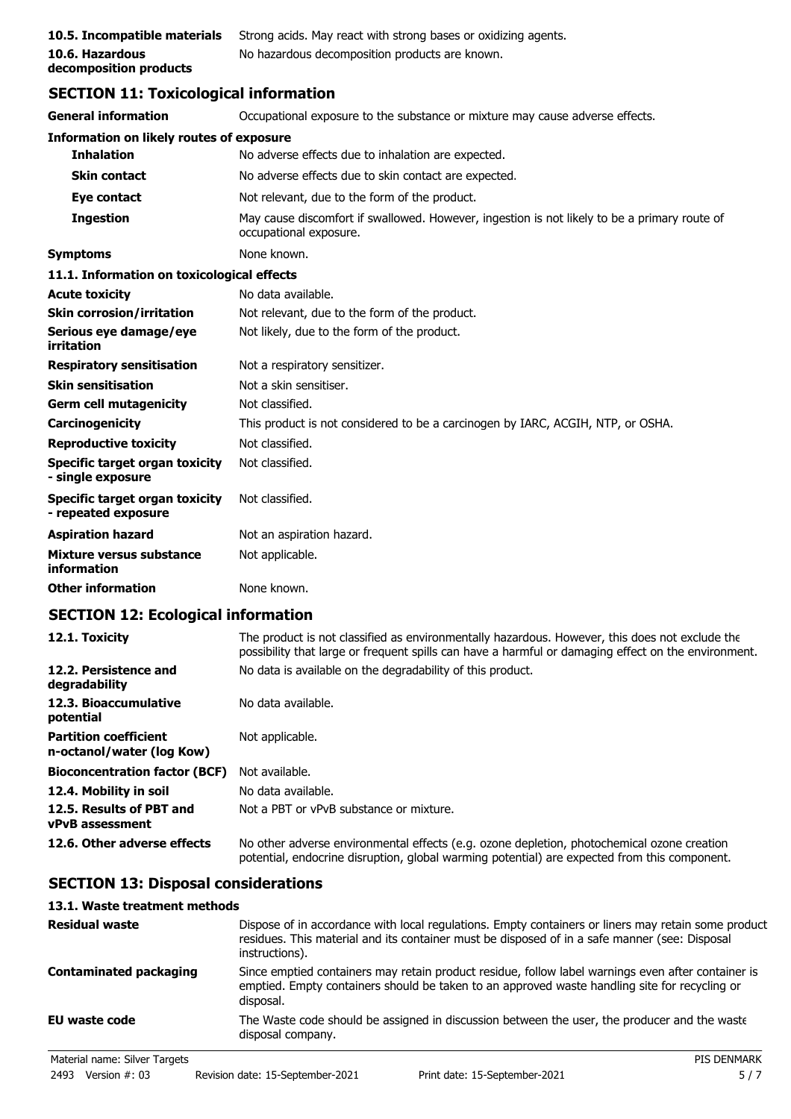| 10.5. Incompatible materials | -St |
|------------------------------|-----|
| 10.6. Hazardous              | N   |
| decomposition products       |     |

**10.5. Incompatible mate mate incompate inconstral** Strong actives. Trong actives **10.6. Hazardous** No hazardous decomposition products are known.

## **SECTION 11: Toxicological information**

| <b>General information</b>                                   | Occupational exposure to the substance or mixture may cause adverse effects.                                           |
|--------------------------------------------------------------|------------------------------------------------------------------------------------------------------------------------|
| Information on likely routes of exposure                     |                                                                                                                        |
| <b>Inhalation</b>                                            | No adverse effects due to inhalation are expected.                                                                     |
| <b>Skin contact</b>                                          | No adverse effects due to skin contact are expected.                                                                   |
| Eye contact                                                  | Not relevant, due to the form of the product.                                                                          |
| <b>Ingestion</b>                                             | May cause discomfort if swallowed. However, ingestion is not likely to be a primary route of<br>occupational exposure. |
| <b>Symptoms</b>                                              | None known.                                                                                                            |
| 11.1. Information on toxicological effects                   |                                                                                                                        |
| <b>Acute toxicity</b>                                        | No data available.                                                                                                     |
| <b>Skin corrosion/irritation</b>                             | Not relevant, due to the form of the product.                                                                          |
| Serious eye damage/eye<br>irritation                         | Not likely, due to the form of the product.                                                                            |
| <b>Respiratory sensitisation</b>                             | Not a respiratory sensitizer.                                                                                          |
| <b>Skin sensitisation</b>                                    | Not a skin sensitiser.                                                                                                 |
| <b>Germ cell mutagenicity</b>                                | Not classified.                                                                                                        |
| Carcinogenicity                                              | This product is not considered to be a carcinogen by IARC, ACGIH, NTP, or OSHA.                                        |
| <b>Reproductive toxicity</b>                                 | Not classified.                                                                                                        |
| Specific target organ toxicity<br>- single exposure          | Not classified.                                                                                                        |
| <b>Specific target organ toxicity</b><br>- repeated exposure | Not classified.                                                                                                        |
| <b>Aspiration hazard</b>                                     | Not an aspiration hazard.                                                                                              |
| Mixture versus substance<br>information                      | Not applicable.                                                                                                        |
| <b>Other information</b>                                     | None known.                                                                                                            |

## **SECTION 12: Ecological information**

| 12.1. Toxicity                                            | The product is not classified as environmentally hazardous. However, this does not exclude the<br>possibility that large or frequent spills can have a harmful or damaging effect on the environment. |
|-----------------------------------------------------------|-------------------------------------------------------------------------------------------------------------------------------------------------------------------------------------------------------|
| 12.2. Persistence and<br>degradability                    | No data is available on the degradability of this product.                                                                                                                                            |
| 12.3. Bioaccumulative<br>potential                        | No data available.                                                                                                                                                                                    |
| <b>Partition coefficient</b><br>n-octanol/water (log Kow) | Not applicable.                                                                                                                                                                                       |
| <b>Bioconcentration factor (BCF)</b>                      | Not available.                                                                                                                                                                                        |
| 12.4. Mobility in soil                                    | No data available.                                                                                                                                                                                    |
| 12.5. Results of PBT and<br><b>vPvB</b> assessment        | Not a PBT or vPvB substance or mixture.                                                                                                                                                               |
| 12.6. Other adverse effects                               | No other adverse environmental effects (e.g. ozone depletion, photochemical ozone creation<br>potential, endocrine disruption, global warming potential) are expected from this component.            |

## **SECTION 13: Disposal considerations**

## **13.1. Waste treatment methods**

| <b>Residual waste</b>         | Dispose of in accordance with local regulations. Empty containers or liners may retain some product<br>residues. This material and its container must be disposed of in a safe manner (see: Disposal<br>instructions). |
|-------------------------------|------------------------------------------------------------------------------------------------------------------------------------------------------------------------------------------------------------------------|
| <b>Contaminated packaging</b> | Since emptied containers may retain product residue, follow label warnings even after container is<br>emptied. Empty containers should be taken to an approved waste handling site for recycling or<br>disposal.       |
| <b>EU waste code</b>          | The Waste code should be assigned in discussion between the user, the producer and the waste<br>disposal company.                                                                                                      |
| Material name: Silver Targets | <b>PIS DENMARK</b>                                                                                                                                                                                                     |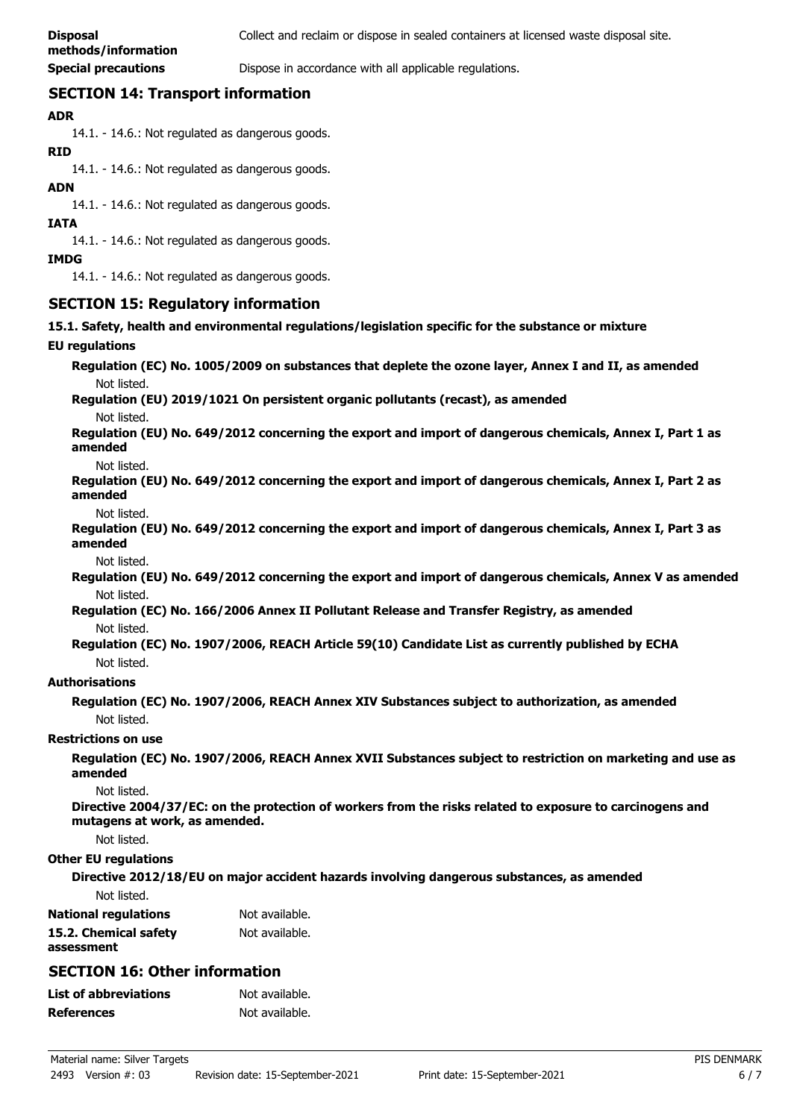**Special precautions Dispose in accordance with all applicable regulations.** 

## **SECTION 14: Transport information**

#### **ADR**

14.1. - 14.6.: Not regulated as dangerous goods.

#### **RID**

14.1. - 14.6.: Not regulated as dangerous goods.

#### **ADN**

14.1. - 14.6.: Not regulated as dangerous goods.

#### **IATA**

14.1. - 14.6.: Not regulated as dangerous goods.

#### **IMDG**

14.1. - 14.6.: Not regulated as dangerous goods.

## **SECTION 15: Regulatory information**

**15.1. Safety, health and environmental regulations/legislation specific for the substance or mixture**

#### **EU regulations**

**Regulation (EC) No. 1005/2009 on substances that deplete the ozone layer, Annex I and II, as amended** Not listed.

**Regulation (EU) 2019/1021 On persistent organic pollutants (recast), as amended**

Not listed.

**Regulation (EU) No. 649/2012 concerning the export and import of dangerous chemicals, Annex I, Part 1 as amended**

#### Not listed.

**Regulation (EU) No. 649/2012 concerning the export and import of dangerous chemicals, Annex I, Part 2 as amended**

Not listed.

**Regulation (EU) No. 649/2012 concerning the export and import of dangerous chemicals, Annex I, Part 3 as amended**

Not listed.

**Regulation (EU) No. 649/2012 concerning the export and import of dangerous chemicals, Annex V as amended** Not listed.

**Regulation (EC) No. 166/2006 Annex II Pollutant Release and Transfer Registry, as amended** Not listed.

**Regulation (EC) No. 1907/2006, REACH Article 59(10) Candidate List as currently published by ECHA** Not listed.

#### **Authorisations**

**Regulation (EC) No. 1907/2006, REACH Annex XIV Substances subject to authorization, as amended** Not listed.

#### **Restrictions on use**

**Regulation (EC) No. 1907/2006, REACH Annex XVII Substances subject to restriction on marketing and use as amended**

Not listed.

**Directive 2004/37/EC: on the protection of workers from the risks related to exposure to carcinogens and mutagens at work, as amended.**

Not listed.

#### **Other EU regulations**

**Directive 2012/18/EU on major accident hazards involving dangerous substances, as amended**

Not listed.

| <b>National regulations</b> | Not available. |
|-----------------------------|----------------|
| 15.2. Chemical safety       | Not available. |
| assessment                  |                |

## **SECTION 16: Other information**

| List of abbreviations | Not available. |
|-----------------------|----------------|
| References            | Not available. |